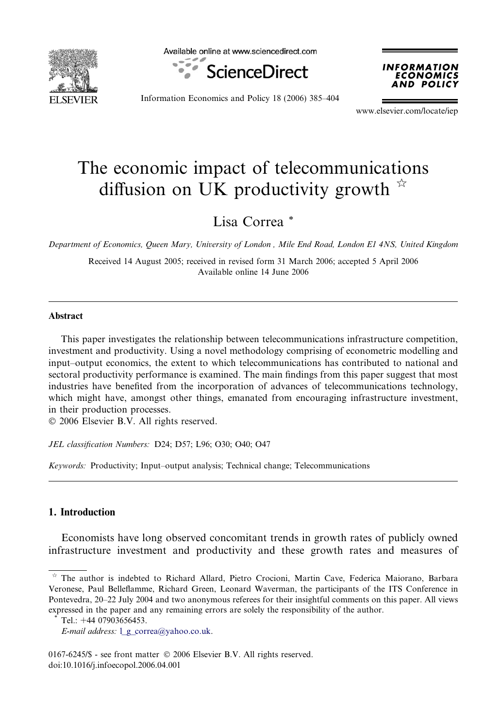

Available online at www.sciencedirect.com





Information Economics and Policy 18 (2006) 385–404

www.elsevier.com/locate/iep

## The economic impact of telecommunications diffusion on UK productivity growth  $\dot{\alpha}$

Lisa Correa \*

Department of Economics, Queen Mary, University of London , Mile End Road, London E1 4NS, United Kingdom

Received 14 August 2005; received in revised form 31 March 2006; accepted 5 April 2006 Available online 14 June 2006

### Abstract

This paper investigates the relationship between telecommunications infrastructure competition, investment and productivity. Using a novel methodology comprising of econometric modelling and input–output economics, the extent to which telecommunications has contributed to national and sectoral productivity performance is examined. The main findings from this paper suggest that most industries have benefited from the incorporation of advances of telecommunications technology, which might have, amongst other things, emanated from encouraging infrastructure investment, in their production processes.

© 2006 Elsevier B.V. All rights reserved.

JEL classification Numbers: D24; D57; L96; O30; O40; O47

Keywords: Productivity; Input–output analysis; Technical change; Telecommunications

### 1. Introduction

Economists have long observed concomitant trends in growth rates of publicly owned infrastructure investment and productivity and these growth rates and measures of

 $*$  The author is indebted to Richard Allard, Pietro Crocioni, Martin Cave, Federica Maiorano, Barbara Veronese, Paul Belleflamme, Richard Green, Leonard Waverman, the participants of the ITS Conference in Pontevedra, 20–22 July 2004 and two anonymous referees for their insightful comments on this paper. All views expressed in the paper and any remaining errors are solely the responsibility of the author.

Tel.: +44 07903656453.

E-mail address:  $l$  **g** correa@yahoo.co.uk.

 $0167-6245$ /\$ - see front matter  $\odot$  2006 Elsevier B.V. All rights reserved. doi:10.1016/j.infoecopol.2006.04.001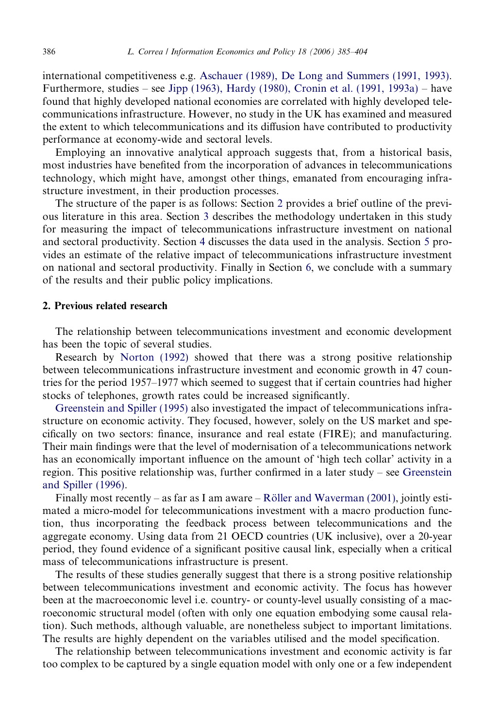international competitiveness e.g. [Aschauer \(1989\), De Long and Summers \(1991, 1993\).](#page--1-0) Furthermore, studies – see [Jipp \(1963\), Hardy \(1980\), Cronin et al. \(1991, 1993a\)](#page--1-0) – have found that highly developed national economies are correlated with highly developed telecommunications infrastructure. However, no study in the UK has examined and measured the extent to which telecommunications and its diffusion have contributed to productivity performance at economy-wide and sectoral levels.

Employing an innovative analytical approach suggests that, from a historical basis, most industries have benefited from the incorporation of advances in telecommunications technology, which might have, amongst other things, emanated from encouraging infrastructure investment, in their production processes.

The structure of the paper is as follows: Section 2 provides a brief outline of the previous literature in this area. Section [3](#page--1-0) describes the methodology undertaken in this study for measuring the impact of telecommunications infrastructure investment on national and sectoral productivity. Section [4](#page--1-0) discusses the data used in the analysis. Section [5](#page--1-0) provides an estimate of the relative impact of telecommunications infrastructure investment on national and sectoral productivity. Finally in Section [6,](#page--1-0) we conclude with a summary of the results and their public policy implications.

#### 2. Previous related research

The relationship between telecommunications investment and economic development has been the topic of several studies.

Research by [Norton \(1992\)](#page--1-0) showed that there was a strong positive relationship between telecommunications infrastructure investment and economic growth in 47 countries for the period 1957–1977 which seemed to suggest that if certain countries had higher stocks of telephones, growth rates could be increased significantly.

[Greenstein and Spiller \(1995\)](#page--1-0) also investigated the impact of telecommunications infrastructure on economic activity. They focused, however, solely on the US market and specifically on two sectors: finance, insurance and real estate (FIRE); and manufacturing. Their main findings were that the level of modernisation of a telecommunications network has an economically important influence on the amount of 'high tech collar' activity in a region. This positive relationship was, further confirmed in a later study – see [Greenstein](#page--1-0) [and Spiller \(1996\)](#page--1-0).

Finally most recently – as far as I am aware – Röller and Waverman (2001), jointly estimated a micro-model for telecommunications investment with a macro production function, thus incorporating the feedback process between telecommunications and the aggregate economy. Using data from 21 OECD countries (UK inclusive), over a 20-year period, they found evidence of a significant positive causal link, especially when a critical mass of telecommunications infrastructure is present.

The results of these studies generally suggest that there is a strong positive relationship between telecommunications investment and economic activity. The focus has however been at the macroeconomic level i.e. country- or county-level usually consisting of a macroeconomic structural model (often with only one equation embodying some causal relation). Such methods, although valuable, are nonetheless subject to important limitations. The results are highly dependent on the variables utilised and the model specification.

The relationship between telecommunications investment and economic activity is far too complex to be captured by a single equation model with only one or a few independent